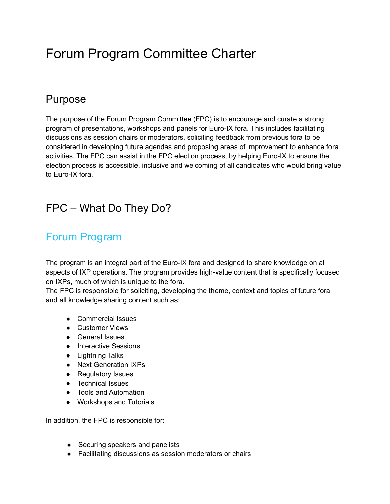# Forum Program Committee Charter

#### Purpose

The purpose of the Forum Program Committee (FPC) is to encourage and curate a strong program of presentations, workshops and panels for Euro-IX fora. This includes facilitating discussions as session chairs or moderators, soliciting feedback from previous fora to be considered in developing future agendas and proposing areas of improvement to enhance fora activities. The FPC can assist in the FPC election process, by helping Euro-IX to ensure the election process is accessible, inclusive and welcoming of all candidates who would bring value to Euro-IX fora.

# FPC – What Do They Do?

# Forum Program

The program is an integral part of the Euro-IX fora and designed to share knowledge on all aspects of IXP operations. The program provides high-value content that is specifically focused on IXPs, much of which is unique to the fora.

The FPC is responsible for soliciting, developing the theme, context and topics of future fora and all knowledge sharing content such as:

- Commercial Issues
- Customer Views
- General Issues
- Interactive Sessions
- Lightning Talks
- Next Generation IXPs
- Regulatory Issues
- Technical Issues
- Tools and Automation
- Workshops and Tutorials

In addition, the FPC is responsible for:

- Securing speakers and panelists
- Facilitating discussions as session moderators or chairs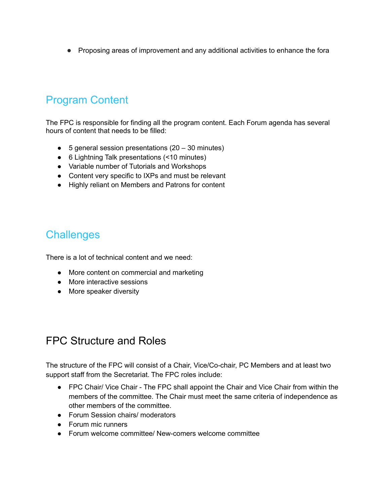● Proposing areas of improvement and any additional activities to enhance the fora

# Program Content

The FPC is responsible for finding all the program content. Each Forum agenda has several hours of content that needs to be filled:

- $\bullet$  5 general session presentations (20 30 minutes)
- 6 Lightning Talk presentations (<10 minutes)
- Variable number of Tutorials and Workshops
- Content very specific to IXPs and must be relevant
- Highly reliant on Members and Patrons for content

#### **Challenges**

There is a lot of technical content and we need:

- More content on commercial and marketing
- More interactive sessions
- More speaker diversity

#### FPC Structure and Roles

The structure of the FPC will consist of a Chair, Vice/Co-chair, PC Members and at least two support staff from the Secretariat. The FPC roles include:

- FPC Chair/ Vice Chair The FPC shall appoint the Chair and Vice Chair from within the members of the committee. The Chair must meet the same criteria of independence as other members of the committee.
- Forum Session chairs/ moderators
- Forum mic runners
- Forum welcome committee/ New-comers welcome committee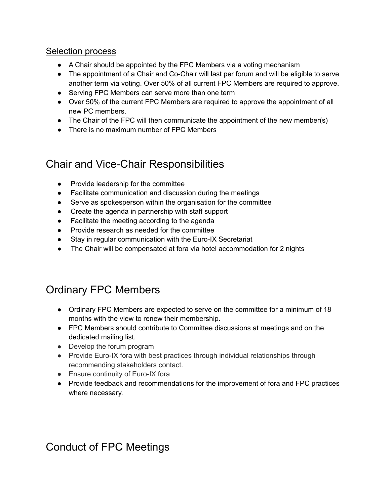#### **Selection process**

- A Chair should be appointed by the FPC Members via a voting mechanism
- The appointment of a Chair and Co-Chair will last per forum and will be eligible to serve another term via voting. Over 50% of all current FPC Members are required to approve.
- Serving FPC Members can serve more than one term
- Over 50% of the current FPC Members are required to approve the appointment of all new PC members.
- The Chair of the FPC will then communicate the appointment of the new member(s)
- There is no maximum number of FPC Members

#### Chair and Vice-Chair Responsibilities

- Provide leadership for the committee
- Facilitate communication and discussion during the meetings
- Serve as spokesperson within the organisation for the committee
- Create the agenda in partnership with staff support
- Facilitate the meeting according to the agenda
- Provide research as needed for the committee
- Stay in regular communication with the Euro-IX Secretariat
- The Chair will be compensated at fora via hotel accommodation for 2 nights

# Ordinary FPC Members

- Ordinary FPC Members are expected to serve on the committee for a minimum of 18 months with the view to renew their membership.
- FPC Members should contribute to Committee discussions at meetings and on the dedicated mailing list.
- Develop the forum program
- Provide Euro-IX fora with best practices through individual relationships through recommending stakeholders contact.
- Ensure continuity of Euro-IX fora
- Provide feedback and recommendations for the improvement of fora and FPC practices where necessary.

# Conduct of FPC Meetings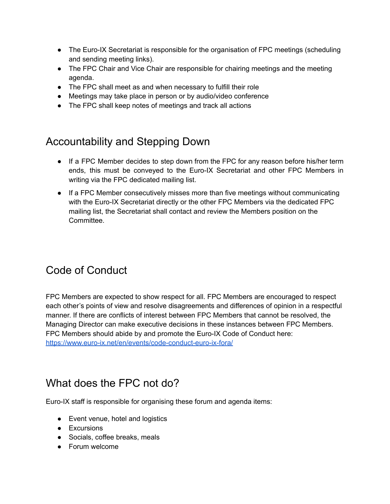- The Euro-IX Secretariat is responsible for the organisation of FPC meetings (scheduling and sending meeting links).
- The FPC Chair and Vice Chair are responsible for chairing meetings and the meeting agenda.
- The FPC shall meet as and when necessary to fulfill their role
- Meetings may take place in person or by audio/video conference
- The FPC shall keep notes of meetings and track all actions

# Accountability and Stepping Down

- If a FPC Member decides to step down from the FPC for any reason before his/her term ends, this must be conveyed to the Euro-IX Secretariat and other FPC Members in writing via the FPC dedicated mailing list.
- If a FPC Member consecutively misses more than five meetings without communicating with the Euro-IX Secretariat directly or the other FPC Members via the dedicated FPC mailing list, the Secretariat shall contact and review the Members position on the **Committee.**

# Code of Conduct

FPC Members are expected to show respect for all. FPC Members are encouraged to respect each other's points of view and resolve disagreements and differences of opinion in a respectful manner. If there are conflicts of interest between FPC Members that cannot be resolved, the Managing Director can make executive decisions in these instances between FPC Members. FPC Members should abide by and promote the Euro-IX Code of Conduct here: <https://www.euro-ix.net/en/events/code-conduct-euro-ix-fora/>

# What does the FPC not do?

Euro-IX staff is responsible for organising these forum and agenda items:

- Event venue, hotel and logistics
- Excursions
- Socials, coffee breaks, meals
- Forum welcome